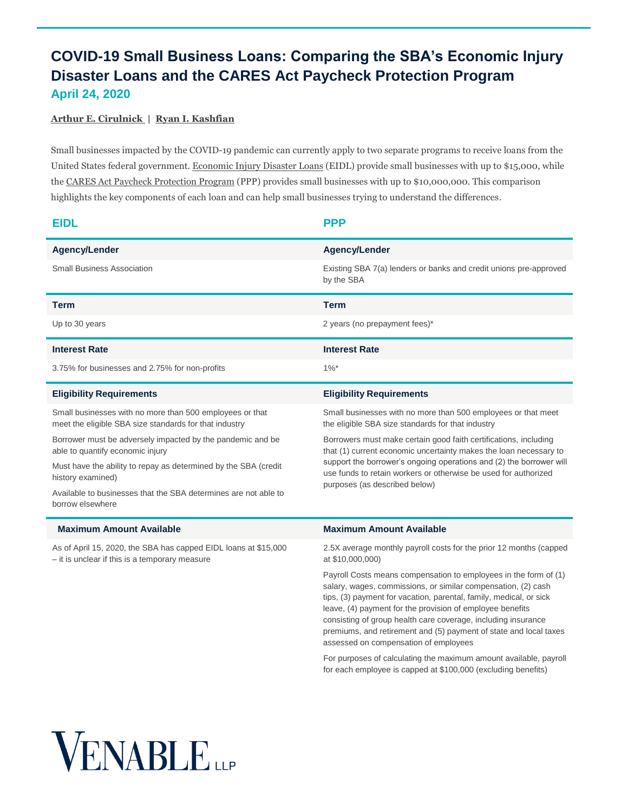## **COVID-19 Small Business Loans: Comparing the SBA's Economic Injury Disaster Loans and the CARES Act Paycheck Protection Program April 24, 2020**

## **[Arthur E. Cirulnick |](https://www.venable.com/professionals/c/arthur-e-cirulnick) [Ryan I. Kashfian](https://www.venable.com/professionals/k/ryan-i-kashfian)**

Small businesses impacted by the COVID-19 pandemic can currently apply to two separate programs to receive loans from the United States federal government. [Economic Injury Disaster Loans](https://www.sba.gov/funding-programs/loans/coronavirus-relief-options/economic-injury-disaster-loan-emergency-advance) (EIDL) provide small businesses with up to \$15,000, while the CARES Act [Paycheck Protection Program](https://www.sba.gov/funding-programs/loans/coronavirus-relief-options/paycheck-protection-program-ppp) (PPP) provides small businesses with up to \$10,000,000. This comparison highlights the key components of each loan and can help small businesses trying to understand the differences.

| <b>EIDL</b>                                                                                                        | <b>PPP</b>                                                                                                                                                                                                                                                                                                                                                                                                                                          |
|--------------------------------------------------------------------------------------------------------------------|-----------------------------------------------------------------------------------------------------------------------------------------------------------------------------------------------------------------------------------------------------------------------------------------------------------------------------------------------------------------------------------------------------------------------------------------------------|
| Agency/Lender                                                                                                      | <b>Agency/Lender</b>                                                                                                                                                                                                                                                                                                                                                                                                                                |
| <b>Small Business Association</b>                                                                                  | Existing SBA 7(a) lenders or banks and credit unions pre-approved<br>by the SBA                                                                                                                                                                                                                                                                                                                                                                     |
| <b>Term</b>                                                                                                        | <b>Term</b>                                                                                                                                                                                                                                                                                                                                                                                                                                         |
| Up to 30 years                                                                                                     | 2 years (no prepayment fees)*                                                                                                                                                                                                                                                                                                                                                                                                                       |
| <b>Interest Rate</b>                                                                                               | <b>Interest Rate</b>                                                                                                                                                                                                                                                                                                                                                                                                                                |
| 3.75% for businesses and 2.75% for non-profits                                                                     | $1\%$ *                                                                                                                                                                                                                                                                                                                                                                                                                                             |
| <b>Eligibility Requirements</b>                                                                                    | <b>Eligibility Requirements</b>                                                                                                                                                                                                                                                                                                                                                                                                                     |
| Small businesses with no more than 500 employees or that<br>meet the eligible SBA size standards for that industry | Small businesses with no more than 500 employees or that meet<br>the eligible SBA size standards for that industry                                                                                                                                                                                                                                                                                                                                  |
| Borrower must be adversely impacted by the pandemic and be<br>able to quantify economic injury                     | Borrowers must make certain good faith certifications, including<br>that (1) current economic uncertainty makes the loan necessary to<br>support the borrower's ongoing operations and (2) the borrower will<br>use funds to retain workers or otherwise be used for authorized<br>purposes (as described below)                                                                                                                                    |
| Must have the ability to repay as determined by the SBA (credit<br>history examined)                               |                                                                                                                                                                                                                                                                                                                                                                                                                                                     |
| Available to businesses that the SBA determines are not able to<br>borrow elsewhere                                |                                                                                                                                                                                                                                                                                                                                                                                                                                                     |
| <b>Maximum Amount Available</b>                                                                                    | <b>Maximum Amount Available</b>                                                                                                                                                                                                                                                                                                                                                                                                                     |
| As of April 15, 2020, the SBA has capped EIDL loans at \$15,000<br>- it is unclear if this is a temporary measure  | 2.5X average monthly payroll costs for the prior 12 months (capped<br>at \$10,000,000)                                                                                                                                                                                                                                                                                                                                                              |
|                                                                                                                    | Payroll Costs means compensation to employees in the form of (1)<br>salary, wages, commissions, or similar compensation, (2) cash<br>tips, (3) payment for vacation, parental, family, medical, or sick<br>leave, (4) payment for the provision of employee benefits<br>consisting of group health care coverage, including insurance<br>premiums, and retirement and (5) payment of state and local taxes<br>assessed on compensation of employees |
|                                                                                                                    | For purposes of calculating the maximum amount available, payroll<br>for each employee is capped at \$100,000 (excluding benefits)                                                                                                                                                                                                                                                                                                                  |

## **VENABLE**